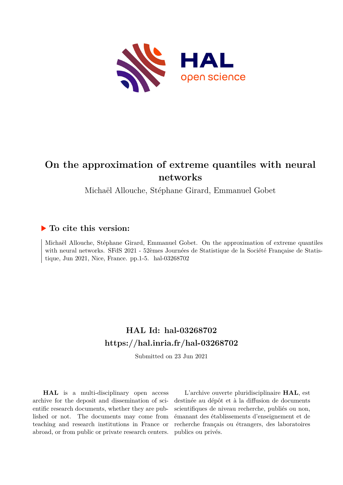

# **On the approximation of extreme quantiles with neural networks**

Michaël Allouche, Stéphane Girard, Emmanuel Gobet

## **To cite this version:**

Michaël Allouche, Stéphane Girard, Emmanuel Gobet. On the approximation of extreme quantiles with neural networks. SFdS 2021 - 52èmes Journées de Statistique de la Société Française de Statistique, Jun 2021, Nice, France. pp.1-5. hal-03268702

# **HAL Id: hal-03268702 <https://hal.inria.fr/hal-03268702>**

Submitted on 23 Jun 2021

**HAL** is a multi-disciplinary open access archive for the deposit and dissemination of scientific research documents, whether they are published or not. The documents may come from teaching and research institutions in France or abroad, or from public or private research centers.

L'archive ouverte pluridisciplinaire **HAL**, est destinée au dépôt et à la diffusion de documents scientifiques de niveau recherche, publiés ou non, émanant des établissements d'enseignement et de recherche français ou étrangers, des laboratoires publics ou privés.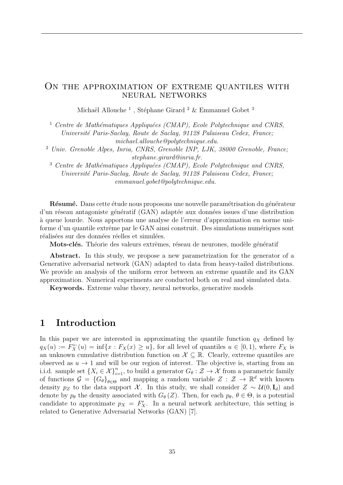#### ON THE APPROXIMATION OF EXTREME QUANTILES WITH neural networks

Michaël Allouche $^1$ , Stéphane Girard $^2$  & Emmanuel Gobet $^3$ 

<sup>1</sup> Centre de Mathématiques Appliquées (CMAP), Ecole Polytechnique and CNRS, *Universit´e Paris-Saclay, Route de Saclay, 91128 Palaiseau Cedex, France; michael.allouche@polytechnique.edu.*

<sup>2</sup> *Univ. Grenoble Alpes, Inria, CNRS, Grenoble INP, LJK, 38000 Grenoble, France; stephane.girard@inria.fr.*

<sup>3</sup> Centre de Mathématiques Appliquées (CMAP), Ecole Polytechnique and CNRS, *Universit´e Paris-Saclay, Route de Saclay, 91128 Palaiseau Cedex, France; emmanuel.gobet@polytechnique.edu.*

Résumé. Dans cette étude nous proposons une nouvelle paramétrisation du générateur d'un réseau antagoniste génératif (GAN) adaptée aux données issues d'une distribution `a queue lourde. Nous apportons une analyse de l'erreur d'approximation en norme uniforme d'un quantile extrême par le GAN ainsi construit. Des simulations numériques sont réalisées sur des données réelles et simulées.

Mots-clés. Théorie des valeurs extrêmes, réseau de neurones, modèle génératif

Abstract. In this study, we propose a new parametrization for the generator of a Generative adversarial network (GAN) adapted to data from heavy-tailed distributions. We provide an analysis of the uniform error between an extreme quantile and its GAN approximation. Numerical experiments are conducted both on real and simulated data.

Keywords. Extreme value theory, neural networks, generative models

### 1 Introduction

In this paper we are interested in approximating the quantile function  $q<sub>X</sub>$  defined by  $q_X(u) := F_X^{\leftarrow}(u) = \inf\{x : F_X(x) \ge u\}$ , for all level of quantiles  $u \in [0, 1)$ , where  $F_X$  is an unknown cumulative distribution function on  $\mathcal{X} \subseteq \mathbb{R}$ . Clearly, extreme quantiles are observed as  $u \to 1$  and will be our region of interest. The objective is, starting from an i.i.d. sample set  $\{X_i \in \mathcal{X}\}_{i=1}^n$ , to build a generator  $G_{\theta}: \mathcal{Z} \to \mathcal{X}$  from a parametric family of functions  $G = {G_{\theta}}_{\theta \in \Theta}$  and mapping a random variable  $Z : \mathcal{Z} \to \mathbb{R}^d$  with known density  $p_Z$  to the data support *X*. In this study, we shall consider  $Z \sim \mathcal{U}(0, \mathbf{I}_d)$  and denote by  $p_{\theta}$  the density associated with  $G_{\theta}(Z)$ . Then, for each  $p_{\theta}$ ,  $\theta \in \Theta$ , is a potential candidate to approximate  $p_X = F'_X$ . In a neural network architecture, this setting is related to Generative Adversarial Networks (GAN) [7].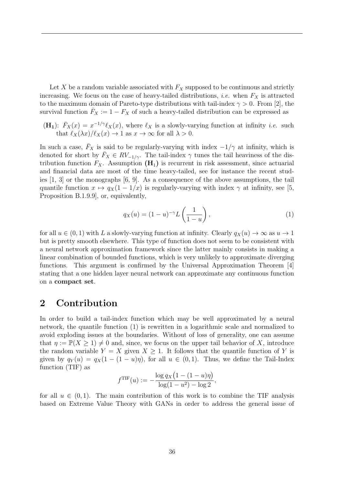Let *X* be a random variable associated with  $F_X$  supposed to be continuous and strictly increasing. We focus on the case of heavy-tailed distributions, *i.e.* when  $F_X$  is attracted to the maximum domain of Pareto-type distributions with tail-index  $\gamma > 0$ . From [2], the survival function  $\bar{F}_X := 1 - F_X$  of such a heavy-tailed distribution can be expressed as

(H<sub>1</sub>):  $\bar{F}_X(x) = x^{-1/\gamma} \ell_X(x)$ , where  $\ell_X$  is a slowly-varying function at infinity *i.e.* such that  $\ell_X(\lambda x)/\ell_X(x) \to 1$  as  $x \to \infty$  for all  $\lambda > 0$ .

In such a case,  $F_X$  is said to be regularly-varying with index  $-1/\gamma$  at infinity, which is denoted for short by  $\bar{F}_X \in RV_{-1/\gamma}$ . The tail-index  $\gamma$  tunes the tail heaviness of the distribution function  $F_X$ . Assumption  $(\mathbf{H}_1)$  is recurrent in risk assessment, since actuarial and financial data are most of the time heavy-tailed, see for instance the recent studies  $[1, 3]$  or the monographs  $[6, 9]$ . As a consequence of the above assumptions, the tail quantile function  $x \mapsto q_X(1 - 1/x)$  is regularly-varying with index  $\gamma$  at infinity, see [5, Proposition B.1.9.9], or, equivalently,

$$
q_X(u) = (1 - u)^{-\gamma} L\left(\frac{1}{1 - u}\right),\tag{1}
$$

for all  $u \in (0,1)$  with *L* a slowly-varying function at infinity. Clearly  $q_X(u) \to \infty$  as  $u \to 1$ but is pretty smooth elsewhere. This type of function does not seem to be consistent with a neural network approximation framework since the latter mainly consists in making a linear combination of bounded functions, which is very unlikely to approximate diverging functions. This argument is confirmed by the Universal Approximation Theorem [4] stating that a one hidden layer neural network can approximate any continuous function on a compact set.

### 2 Contribution

In order to build a tail-index function which may be well approximated by a neural network, the quantile function (1) is rewritten in a logarithmic scale and normalized to avoid exploding issues at the boundaries. Without of loss of generality, one can assume that  $\eta := \mathbb{P}(X \geq 1) \neq 0$  and, since, we focus on the upper tail behavior of X, introduce the random variable  $Y = X$  given  $X \geq 1$ . It follows that the quantile function of Y is given by  $q_Y(u) = q_X(1 - (1 - u)\eta)$ , for all  $u \in (0, 1)$ . Thus, we define the Tail-Index function (TIF) as

$$
f^{TIF}(u) := -\frac{\log q_X (1 - (1 - u)\eta)}{\log(1 - u^2) - \log 2},
$$

for all  $u \in (0,1)$ . The main contribution of this work is to combine the TIF analysis based on Extreme Value Theory with GANs in order to address the general issue of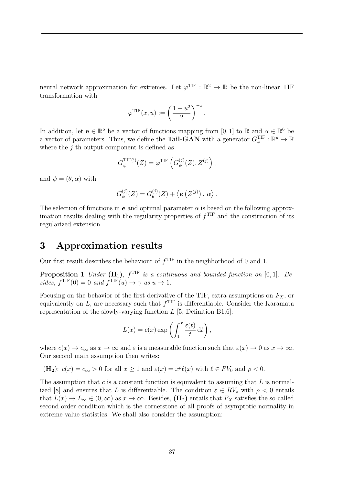neural network approximation for extremes. Let  $\varphi^{TIF} : \mathbb{R}^2 \to \mathbb{R}$  be the non-linear TIF transformation with

$$
\varphi^{TIF}(x, u) := \left(\frac{1 - u^2}{2}\right)^{-x}.
$$

In addition, let  $e \in \mathbb{R}^6$  be a vector of functions mapping from [0, 1] to R and  $\alpha \in \mathbb{R}^6$  be a vector of parameters. Thus, we define the **Tail-GAN** with a generator  $G_{\psi}^{TIF} : \mathbb{R}^{d} \to \mathbb{R}$ where the *j*-th output component is defined as

$$
G_{\psi}^{\text{TIF}(\mathbf{j})}(Z) = \varphi^{\text{TIF}}\left(G_{\psi}^{(j)}(Z), Z^{(j)}\right),
$$

and  $\psi = (\theta, \alpha)$  with

$$
G_{\psi}^{(j)}(Z) = G_{\theta}^{(j)}(Z) + \langle e (Z^{(j)}) , \alpha \rangle.
$$

The selection of functions in  $e$  and optimal parameter  $\alpha$  is based on the following approximation results dealing with the regularity properties of  $f<sup>TIF</sup>$  and the construction of its regularized extension.

## 3 Approximation results

Our first result describes the behaviour of  $f<sup>TIF</sup>$  in the neighborhood of 0 and 1.

**Proposition 1** *Under* ( $\mathbf{H}_1$ ),  $f^{\text{TF}}$  *is a continuous and bounded function on* [0,1]*. Be* $sides, f^{\text{TF}}(0) = 0 \text{ and } f^{\text{TF}}(u) \rightarrow \gamma \text{ as } u \rightarrow 1.$ 

Focusing on the behavior of the first derivative of the TIF, extra assumptions on *FX*, or equivalently on  $L$ , are necessary such that  $f<sup>TIF</sup>$  is differentiable. Consider the Karamata representation of the slowly-varying function *L* [5, Definition B1.6]:

$$
L(x) = c(x) \exp\left(\int_1^x \frac{\varepsilon(t)}{t} dt\right),\,
$$

where  $c(x) \to c_{\infty}$  as  $x \to \infty$  and  $\varepsilon$  is a measurable function such that  $\varepsilon(x) \to 0$  as  $x \to \infty$ . Our second main assumption then writes:

$$
(\mathbf{H}_2): c(x) = c_{\infty} > 0
$$
 for all  $x \ge 1$  and  $\varepsilon(x) = x^{\rho} \ell(x)$  with  $\ell \in RV_0$  and  $\rho < 0$ .

The assumption that *c* is a constant function is equivalent to assuming that *L* is normalized [8] and ensures that *L* is differentiable. The condition  $\varepsilon \in RV_\rho$  with  $\rho < 0$  entails that  $L(x) \to L_{\infty} \in (0, \infty)$  as  $x \to \infty$ . Besides,  $(\mathbf{H}_2)$  entails that  $F_X$  satisfies the so-called second-order condition which is the cornerstone of all proofs of asymptotic normality in extreme-value statistics. We shall also consider the assumption: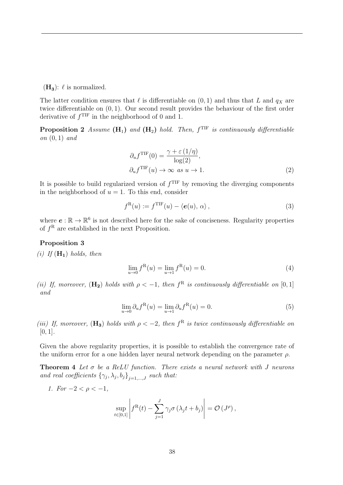$(H_3)$ :  $\ell$  is normalized.

The latter condition ensures that  $\ell$  is differentiable on  $(0, 1)$  and thus that *L* and  $q_X$  are twice differentiable on (0*,* 1). Our second result provides the behaviour of the first order derivative of  $f<sup>TIF</sup>$  in the neighborhood of 0 and 1.

**Proposition 2** *Assume* ( $H_1$ ) *and* ( $H_2$ ) *hold. Then,*  $f^{TIF}$  *is continuously differentiable on* (0*,* 1) *and*

$$
\partial_u f^{\text{TIF}}(0) = \frac{\gamma + \varepsilon (1/\eta)}{\log(2)},
$$
  

$$
\partial_u f^{\text{TIF}}(u) \to \infty \text{ as } u \to 1.
$$
 (2)

It is possible to build regularized version of  $f<sup>TIF</sup>$  by removing the diverging components in the neighborhood of  $u = 1$ . To this end, consider

$$
f^{\mathcal{R}}(u) := f^{\text{TF}}(u) - \langle \mathbf{e}(u), \alpha \rangle, \qquad (3)
$$

where  $e : \mathbb{R} \to \mathbb{R}^6$  is not described here for the sake of conciseness. Regularity properties of  $f<sup>R</sup>$  are established in the next Proposition.

#### Proposition 3

 $(i)$  *If*  $(H_1)$  *holds, then* 

$$
\lim_{u \to 0} f^{\mathcal{R}}(u) = \lim_{u \to 1} f^{\mathcal{R}}(u) = 0.
$$
\n(4)

*(ii) If, moreover,*  $(H_2)$  *holds with*  $\rho < -1$ *, then*  $f^R$  *is continuously differentiable on* [0,1] *and*

$$
\lim_{u \to 0} \partial_u f^{\mathcal{R}}(u) = \lim_{u \to 1} \partial_u f^{\mathcal{R}}(u) = 0.
$$
\n<sup>(5)</sup>

*(iii) If, moreover,* ( $\mathbf{H}_3$ ) *holds with*  $\rho < -2$ *, then*  $f^R$  *is twice continuously differentiable on* [0*,* 1]*.*

Given the above regularity properties, it is possible to establish the convergence rate of the uniform error for a one hidden layer neural network depending on the parameter  $\rho$ .

Theorem 4 *Let* σ *be a ReLU function. There exists a neural network with J neurons and real coefficients*  $\{\gamma_j, \lambda_j, b_j\}_{j=1,\ldots,J}$  *such that:* 

*1. For*  $-2 < \rho < -1$ *,* 

$$
\sup_{t\in[0,1]}\left|f^{\mathrm{R}}(t)-\sum_{j=1}^{J}\gamma_{j}\sigma\left(\lambda_{j}t+b_{j}\right)\right|=\mathcal{O}\left(J^{\rho}\right),\,
$$